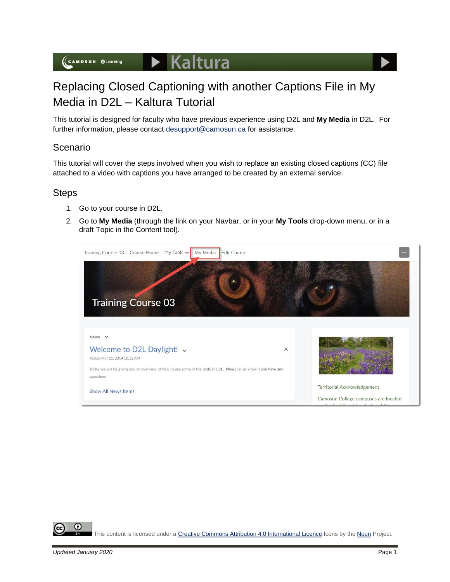

# Replacing Closed Captioning with another Captions File in My Media in D2L – Kaltura Tutorial

This tutorial is designed for faculty who have previous experience using D2L and **My Media** in D2L. For further information, please contact [desupport@camosun.ca](mailto:desupport@camosun.ca) for assistance.

# Scenario

This tutorial will cover the steps involved when you wish to replace an existing closed captions (CC) file attached to a video with captions you have arranged to be created by an external service.

### **Steps**

- 1. Go to your course in D2L.
- 2. Go to **My Media** (through the link on your Navbar, or in your **My Tools** drop-down menu, or in a draft Topic in the Content tool).



O This content is licensed under [a Creative Commons Attribution 4.0 International Licence.I](https://creativecommons.org/licenses/by/4.0/)cons by the [Noun](https://creativecommons.org/website-icons/) Project.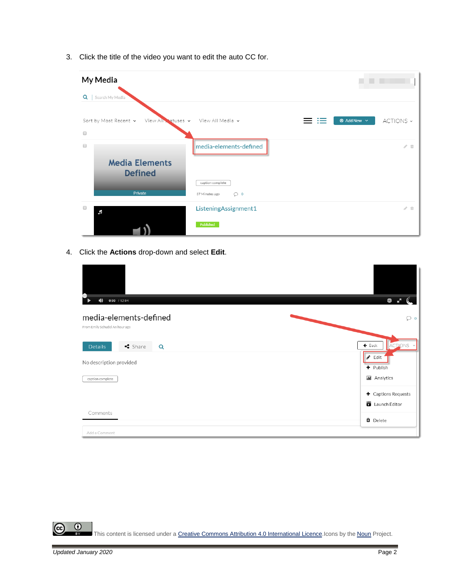3. Click the title of the video you want to edit the auto CC for.

| My Media                                     |                                               |                                            |
|----------------------------------------------|-----------------------------------------------|--------------------------------------------|
| $Q \mid$<br>Search My Media                  |                                               |                                            |
| Sort by Most Recent v<br>View All Statuses v | View All Media v                              | $\odot$ Add New $\sim$<br>ACTIONS ~<br>$=$ |
| $\Box$<br>$\Box$                             | media-elements-defined                        | $\mathcal{S}^{\pm}$ iii                    |
| <b>Media Elements</b><br><b>Defined</b>      |                                               |                                            |
| Private                                      | caption complete<br>$\circ$<br>37 Minutes ago |                                            |
| $\Box$<br>F                                  | ListeningAssignment1                          | $\mathcal{E}$ iii                          |
|                                              | Published                                     |                                            |

4. Click the **Actions** drop-down and select **Edit**.

| $\blacktriangleleft$<br>$0:00$ / 12:04                   | G                                                  |
|----------------------------------------------------------|----------------------------------------------------|
| media-elements-defined<br>From Emily Schudel An hour ago | $\circ$                                            |
| $\triangleleft$ Share<br><b>Details</b><br>Q             | $\leftarrow$ Back<br>ACTIONS Y                     |
| No description provided                                  | $\triangle$ Edit<br>+ Publish                      |
| caption complete                                         | <b>III</b> Analytics                               |
|                                                          | $\blacklozenge$ Captions Requests<br>Launch Editor |
| Comments                                                 | <b>O</b> Delete                                    |
| Add a Comment                                            |                                                    |

 $\frac{1}{\sqrt{2}}$  $\odot$ This content is licensed under [a Creative Commons Attribution 4.0 International Licence.I](https://creativecommons.org/licenses/by/4.0/)cons by the [Noun](https://creativecommons.org/website-icons/) Project.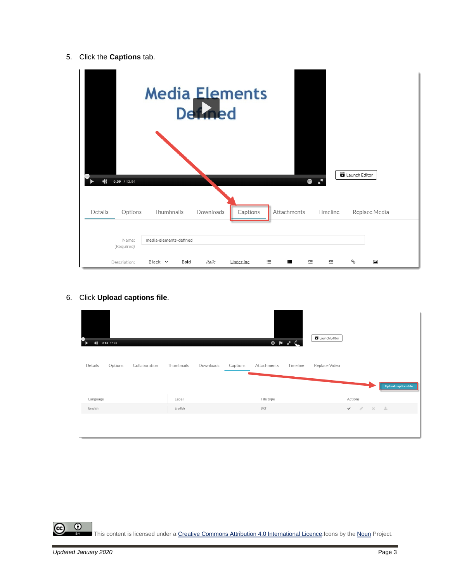#### 5. Click the **Captions** tab.

| $\blacktriangleleft$<br>$0:00$ / 12:04<br>Details<br>Options | <b>Media Elements</b><br><b>Def</b><br>Thumbnails | Downloads | Captions  | Attachments | $\bullet$<br>r.<br>Timeline | Launch Editor | Replace Media            |
|--------------------------------------------------------------|---------------------------------------------------|-----------|-----------|-------------|-----------------------------|---------------|--------------------------|
| Name:<br>(Required)                                          | media-elements-defined                            |           |           |             |                             |               |                          |
| Description:                                                 | Black v<br>Bold                                   | Italic    | Underline | 這<br>這      | 彊<br>彊                      | ዔ             | $\overline{\phantom{a}}$ |

6. Click **Upload captions file**.

| D<br>0:00 / 2:49<br>飞<br>$\blacklozenge$ |            |           |          |             | $\begin{array}{c} \circ \\ \circ \\ \circ \end{array}$ | Launch Editor |              |                        |              |                      |
|------------------------------------------|------------|-----------|----------|-------------|--------------------------------------------------------|---------------|--------------|------------------------|--------------|----------------------|
| Details<br>Options<br>Collaboration      | Thumbnails | Downloads | Captions | Attachments | Timeline                                               | Replace Video |              |                        |              | Upload captions file |
| Language                                 | Label      |           |          | File type   |                                                        |               | Actions      |                        |              |                      |
| English                                  | English    |           |          | SRT         |                                                        |               | $\checkmark$ | $-20$<br>$\mathcal{J}$ | $\sim$ $\pm$ |                      |
|                                          |            |           |          |             |                                                        |               |              |                        |              |                      |

 $\frac{0}{x}$ This content is licensed under [a Creative Commons Attribution 4.0 International Licence.I](https://creativecommons.org/licenses/by/4.0/)cons by the [Noun](https://creativecommons.org/website-icons/) Project.

 $\odot$